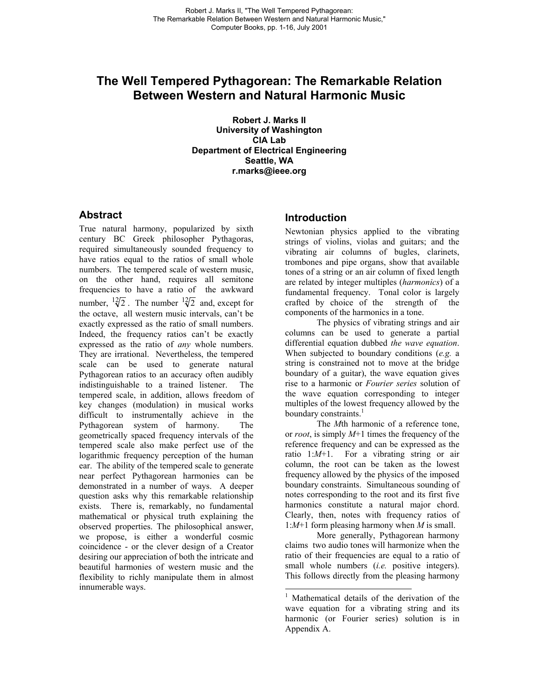# **The Well Tempered Pythagorean: The Remarkable Relation Between Western and Natural Harmonic Music**

**Robert J. Marks II University of Washington CIA Lab Department of Electrical Engineering Seattle, WA r.marks@ieee.org**

# **Abstract**

True natural harmony, popularized by sixth century BC Greek philosopher Pythagoras, required simultaneously sounded frequency to have ratios equal to the ratios of small whole numbers. The tempered scale of western music, on the other hand, requires all semitone frequencies to have a ratio of the awkward number,  $\frac{12}{2}$ . The number  $\frac{12}{2}$  and, except for the octave, all western music intervals, can't be exactly expressed as the ratio of small numbers. Indeed, the frequency ratios can't be exactly expressed as the ratio of *any* whole numbers. They are irrational. Nevertheless, the tempered scale can be used to generate natural Pythagorean ratios to an accuracy often audibly indistinguishable to a trained listener. The tempered scale, in addition, allows freedom of key changes (modulation) in musical works difficult to instrumentally achieve in the Pythagorean system of harmony. The geometrically spaced frequency intervals of the tempered scale also make perfect use of the logarithmic frequency perception of the human ear. The ability of the tempered scale to generate near perfect Pythagorean harmonies can be demonstrated in a number of ways. A deeper question asks why this remarkable relationship exists. There is, remarkably, no fundamental mathematical or physical truth explaining the observed properties. The philosophical answer, we propose, is either a wonderful cosmic coincidence - or the clever design of a Creator desiring our appreciation of both the intricate and beautiful harmonies of western music and the flexibility to richly manipulate them in almost innumerable ways.

# **Introduction**

Newtonian physics applied to the vibrating strings of violins, violas and guitars; and the vibrating air columns of bugles, clarinets, trombones and pipe organs, show that available tones of a string or an air column of fixed length are related by integer multiples (*harmonics*) of a fundamental frequency. Tonal color is largely crafted by choice of the strength of the components of the harmonics in a tone.

The physics of vibrating strings and air columns can be used to generate a partial differential equation dubbed *the wave equation*. When subjected to boundary conditions (*e.g.* a string is constrained not to move at the bridge boundary of a guitar), the wave equation gives rise to a harmonic or *Fourier series* solution of the wave equation corresponding to integer multiples of the lowest frequency allowed by the boundary constraints. $<sup>1</sup>$  $<sup>1</sup>$  $<sup>1</sup>$ </sup>

The *M*th harmonic of a reference tone, or *root*, is simply *M*+1 times the frequency of the reference frequency and can be expressed as the ratio 1:*M*+1. For a vibrating string or air column, the root can be taken as the lowest frequency allowed by the physics of the imposed boundary constraints. Simultaneous sounding of notes corresponding to the root and its first five harmonics constitute a natural major chord. Clearly, then, notes with frequency ratios of 1:*M*+1 form pleasing harmony when *M* is small.

More generally, Pythagorean harmony claims two audio tones will harmonize when the ratio of their frequencies are equal to a ratio of small whole numbers *(i.e.* positive integers). This follows directly from the pleasing harmony

-

<span id="page-0-0"></span><sup>&</sup>lt;sup>1</sup> Mathematical details of the derivation of the wave equation for a vibrating string and its harmonic (or Fourier series) solution is in Appendix A.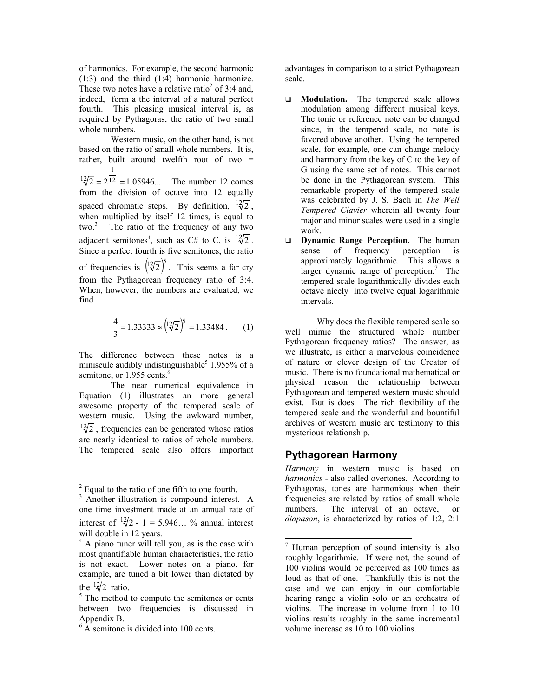of harmonics. For example, the second harmonic (1:3) and the third (1:4) harmonic harmonize. Thesetwo notes have a relative ratio<sup>2</sup> of 3:4 and, indeed, form a the interval of a natural perfect fourth. This pleasing musical interval is, as required by Pythagoras, the ratio of two small whole numbers.

Western music, on the other hand, is not based on the ratio of small whole numbers. It is, rather, built around twelfth root of two  $=$  $2 = 2^{12} = 1.05946...$ 1  $\sqrt{12}/2 = 2\sqrt{12} = 1.05946...$  The number 12 comes from the division of octave into 12 equally spaced chromatic steps. By definition,  $\frac{12}{2}$ , when multiplied by itself 12 times, is equal to two. [3](#page-1-1) The ratio of the frequency of any two adjacent semitones<sup>[4](#page-1-2)</sup>, such as C# to C, is  $\frac{12}{2}$ . Since a perfect fourth is five semitones, the ratio of frequencies is  $(12\sqrt{2})^5$ . This seems a far cry from the Pythagorean frequency ratio of 3:4. When, however, the numbers are evaluated, we find

$$
\frac{4}{3} = 1.33333 \approx \left(\frac{12}{2}\right)^5 = 1.33484. \quad (1)
$$

The difference between these notes is a miniscule audibly indistinguishable<sup>[5](#page-1-3)</sup> 1.955% of a semitone, or  $1.955$  cents.<sup>[6](#page-1-4)</sup>

 The near numerical equivalence in Equation (1) illustrates an more general awesome property of the tempered scale of western music. Using the awkward number,  $\frac{12}{2}$ , frequencies can be generated whose ratios are nearly identical to ratios of whole numbers. The tempered scale also offers important

 $\overline{a}$ 

advantages in comparison to a strict Pythagorean scale.

- **Modulation.** The tempered scale allows modulation among different musical keys. The tonic or reference note can be changed since, in the tempered scale, no note is favored above another. Using the tempered scale, for example, one can change melody and harmony from the key of C to the key of G using the same set of notes. This cannot be done in the Pythagorean system. This remarkable property of the tempered scale was celebrated by J. S. Bach in *The Well Tempered Clavier* wherein all twenty four major and minor scales were used in a single work.
- **Dynamic Range Perception.** The human sense of frequency perception is approximately logarithmic. This allows a larger dynamic range of perception.<sup>[7](#page-1-5)</sup> The tempered scale logarithmically divides each octave nicely into twelve equal logarithmic intervals.

 Why does the flexible tempered scale so well mimic the structured whole number Pythagorean frequency ratios? The answer, as we illustrate, is either a marvelous coincidence of nature or clever design of the Creator of music. There is no foundational mathematical or physical reason the relationship between Pythagorean and tempered western music should exist. But is does. The rich flexibility of the tempered scale and the wonderful and bountiful archives of western music are testimony to this mysterious relationship.

# **Pythagorean Harmony**

*Harmony* in western music is based on *harmonics* - also called overtones. According to Pythagoras, tones are harmonious when their frequencies are related by ratios of small whole numbers. The interval of an octave, or *diapason*, is characterized by ratios of 1:2, 2:1

<span id="page-1-0"></span> $2^{2}$  Equal to the ratio of one fifth to one fourth.

<span id="page-1-1"></span><sup>&</sup>lt;sup>3</sup> Another illustration is compound interest. A one time investment made at an annual rate of interest of  $\sqrt[12]{2} - 1 = 5.946...$  % annual interest will double in 12 years.

<span id="page-1-2"></span><sup>&</sup>lt;sup>4</sup> A piano tuner will tell you, as is the case with most quantifiable human characteristics, the ratio is not exact. Lower notes on a piano, for example, are tuned a bit lower than dictated by the  $\sqrt[12]{2}$  ratio.

<span id="page-1-3"></span> $5$  The method to compute the semitones or cents between two frequencies is discussed in Appendix B.

<span id="page-1-4"></span><sup>&</sup>lt;sup>6</sup> A semitone is divided into 100 cents.

<span id="page-1-5"></span> 7 Human perception of sound intensity is also roughly logarithmic. If were not, the sound of 100 violins would be perceived as 100 times as loud as that of one. Thankfully this is not the case and we can enjoy in our comfortable hearing range a violin solo or an orchestra of violins. The increase in volume from 1 to 10 violins results roughly in the same incremental volume increase as 10 to 100 violins.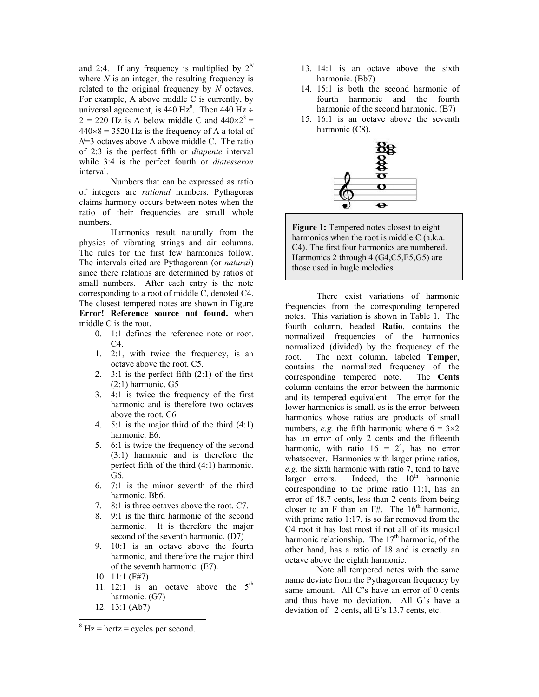and 2:4. If any frequency is multiplied by  $2^N$ where  $N$  is an integer, the resulting frequency is related to the original frequency by *N* octaves. For example, A above middle C is currently, by universal agreement, is 440 Hz<sup>[8](#page-2-0)</sup>. Then 440 Hz ÷  $2 = 220$  Hz is A below middle C and  $440 \times 2^3 =$  $440\times8 = 3520$  Hz is the frequency of A a total of *N*=3 octaves above A above middle C. The ratio of 2:3 is the perfect fifth or *diapente* interval while 3:4 is the perfect fourth or *diatesseron* interval.

Numbers that can be expressed as ratio of integers are *rational* numbers. Pythagoras claims harmony occurs between notes when the ratio of their frequencies are small whole numbers.

 Harmonics result naturally from the physics of vibrating strings and air columns. The rules for the first few harmonics follow. The intervals cited are Pythagorean (or *natural*) since there relations are determined by ratios of small numbers. After each entry is the note corresponding to a root of middle C, denoted C4. The closest tempered notes are shown in Figure **[Error! Reference source not found.](#page-0-0)** when middle C is the root.

- 0. 1:1 defines the reference note or root.  $C4$ .
- 1. 2:1, with twice the frequency, is an octave above the root. C5.
- 2.  $3:1$  is the perfect fifth  $(2:1)$  of the first (2:1) harmonic. G5
- 3. 4:1 is twice the frequency of the first harmonic and is therefore two octaves above the root. C6
- 4. 5:1 is the major third of the third (4:1) harmonic. E6.
- 5. 6:1 is twice the frequency of the second (3:1) harmonic and is therefore the perfect fifth of the third (4:1) harmonic. G6.
- 6. 7:1 is the minor seventh of the third harmonic. Bb6.
- 7. 8:1 is three octaves above the root. C7.
- 8. 9:1 is the third harmonic of the second harmonic. It is therefore the major second of the seventh harmonic. (D7)
- 9. 10:1 is an octave above the fourth harmonic, and therefore the major third of the seventh harmonic. (E7).
- 10. 11:1 (F#7)
- 11. 12:1 is an octave above the  $5<sup>th</sup>$ harmonic. (G7)
- 12. 13:1 (Ab7)

 $\overline{a}$ 

- 13. 14:1 is an octave above the sixth harmonic. (Bb7)
- 14. 15:1 is both the second harmonic of fourth harmonic and the fourth harmonic of the second harmonic. (B7)
- 15. 16:1 is an octave above the seventh harmonic (C8).



**Figure 1:** Tempered notes closest to eight harmonics when the root is middle C (a.k.a. C4). The first four harmonics are numbered. Harmonics 2 through 4 (G4,C5,E5,G5) are those used in bugle melodies.

 There exist variations of harmonic frequencies from the corresponding tempered notes. This variation is shown in Table 1. The fourth column, headed **Ratio**, contains the normalized frequencies of the harmonics normalized (divided) by the frequency of the root. The next column, labeled **Temper**, contains the normalized frequency of the corresponding tempered note. The **Cents** column contains the error between the harmonic and its tempered equivalent. The error for the lower harmonics is small, as is the error between harmonics whose ratios are products of small numbers, *e.g.* the fifth harmonic where  $6 = 3 \times 2$ has an error of only 2 cents and the fifteenth harmonic, with ratio  $16 = 2^4$ , has no error whatsoever. Harmonics with larger prime ratios, *e.g.* the sixth harmonic with ratio 7, tend to have larger errors. Indeed, the  $10<sup>th</sup>$  harmonic corresponding to the prime ratio 11:1, has an error of 48.7 cents, less than 2 cents from being closer to an F than an  $FH$ . The 16<sup>th</sup> harmonic, with prime ratio 1:17, is so far removed from the C4 root it has lost most if not all of its musical harmonic relationship. The  $17<sup>th</sup>$  harmonic, of the other hand, has a ratio of 18 and is exactly an octave above the eighth harmonic.

 Note all tempered notes with the same name deviate from the Pythagorean frequency by same amount. All C's have an error of 0 cents and thus have no deviation. All G's have a deviation of –2 cents, all E's 13.7 cents, etc.

<span id="page-2-0"></span> $8$  Hz = hertz = cycles per second.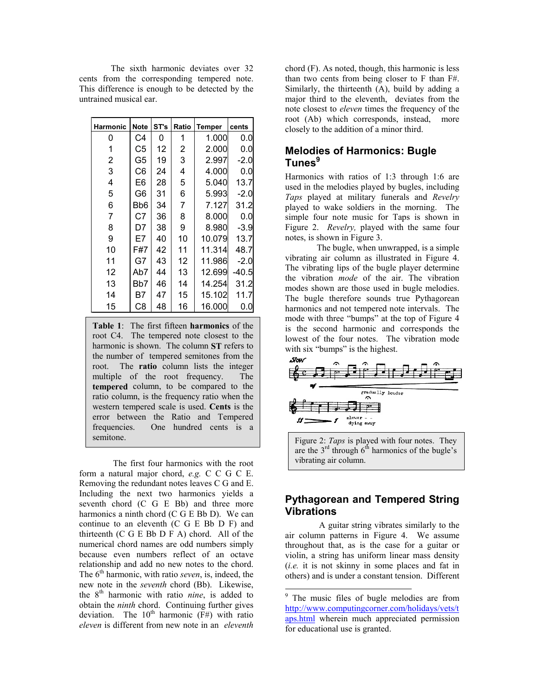The sixth harmonic deviates over 32 cents from the corresponding tempered note. This difference is enough to be detected by the untrained musical ear.

| <b>Harmonic</b> | <b>Note</b>    | ST's | Ratio          | <b>Temper</b> | cents  |
|-----------------|----------------|------|----------------|---------------|--------|
| 0               | C4             | 0    | 1              | 1.000         | 0.0    |
| 1               | C5             | 12   | 2              | 2.000         | 0.0    |
| $\overline{2}$  | G5             | 19   | 3              | 2.997         | -2.0   |
| 3               | C <sub>6</sub> | 24   | 4              | 4.000         | 0.0    |
| 4               | E6             | 28   | 5              | 5.040         | 13.7   |
| 5               | G6             | 31   | 6              | 5.993         | $-2.0$ |
| 6               | Bb6            | 34   | $\overline{7}$ | 7.127         | 31.2   |
| $\overline{7}$  | C7             | 36   | 8              | 8.000         | 0.0    |
| 8               | D7             | 38   | 9              | 8.980         | $-3.9$ |
| 9               | E7             | 40   | 10             | 10.079        | 13.7   |
| 10              | F#7            | 42   | 11             | 11.314        | 48.7   |
| 11              | G7             | 43   | 12             | 11.986        | $-2.0$ |
| 12              | Ab7            | 44   | 13             | 12.699        | -40.5  |
| 13              | Bb7            | 46   | 14             | 14.254        | 31.2   |
| 14              | Β7             | 47   | 15             | 15.102        | 11.7   |
| 15              | C <sub>8</sub> | 48   | 16             | 16.000        | 0.0    |

**Table 1**: The first fifteen **harmonics** of the root C4. The tempered note closest to the harmonic is shown. The column **ST** refers to the number of tempered semitones from the root. The **ratio** column lists the integer multiple of the root frequency. The **tempered** column, to be compared to the ratio column, is the frequency ratio when the western tempered scale is used. **Cents** is the error between the Ratio and Tempered frequencies. One hundred cents is a semitone.

 The first four harmonics with the root form a natural major chord, *e.g.* C C G C E. Removing the redundant notes leaves C G and E. Including the next two harmonics yields a seventh chord (C G E Bb) and three more harmonics a ninth chord (C G E Bb D). We can continue to an eleventh (C G E Bb D F) and thirteenth (C G E Bb D F A) chord. All of the numerical chord names are odd numbers simply because even numbers reflect of an octave relationship and add no new notes to the chord. The  $6<sup>th</sup>$  harmonic, with ratio *seven*, is, indeed, the new note in the *seventh* chord (Bb). Likewise, the 8th harmonic with ratio *nine*, is added to obtain the *ninth* chord. Continuing further gives deviation. The  $10^{th}$  harmonic (F#) with ratio *eleven* is different from new note in an *eleventh*

chord (F). As noted, though, this harmonic is less than two cents from being closer to F than F#. Similarly, the thirteenth (A), build by adding a major third to the eleventh, deviates from the note closest to *eleven* times the frequency of the root (Ab) which corresponds, instead, more closely to the addition of a minor third.

# **Melodies of Harmonics: Bugle Tunes[9](#page-3-0)**

Harmonics with ratios of 1:3 through 1:6 are used in the melodies played by bugles, including *Taps* played at military funerals and *Revelry* played to wake soldiers in the morning. The simple four note music for Taps is shown in Figure 2. *Revelry,* played with the same four notes, is shown in Figure 3.

The bugle, when unwrapped, is a simple vibrating air column as illustrated in Figure 4. The vibrating lips of the bugle player determine the vibration *mode* of the air. The vibration modes shown are those used in bugle melodies. The bugle therefore sounds true Pythagorean harmonics and not tempered note intervals. The mode with three "bumps" at the top of Figure 4 is the second harmonic and corresponds the lowest of the four notes. The vibration mode with six "bumps" is the highest.



Figure 2: *Taps* is played with four notes. They are the  $3<sup>rd</sup>$  through  $6<sup>th</sup>$  harmonics of the bugle's vibrating air column.

# **Pythagorean and Tempered String Vibrations**

 A guitar string vibrates similarly to the air column patterns in Figure 4. We assume throughout that, as is the case for a guitar or violin, a string has uniform linear mass density (*i.e.* it is not skinny in some places and fat in others) and is under a constant tension. Different

-

<span id="page-3-0"></span><sup>&</sup>lt;sup>9</sup> The music files of bugle melodies are from [http://www.computingcorner.com/holidays/vets/t](http://www.computingcorner.com/holidays/vets/taps.html) [aps.html](http://www.computingcorner.com/holidays/vets/taps.html) wherein much appreciated permission for educational use is granted.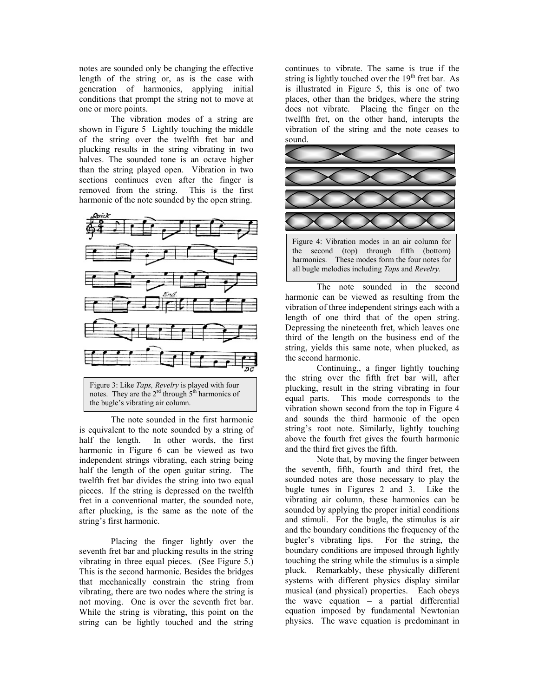notes are sounded only be changing the effective length of the string or, as is the case with generation of harmonics, applying initial conditions that prompt the string not to move at one or more points.

The vibration modes of a string are shown in Figure 5 Lightly touching the middle of the string over the twelfth fret bar and plucking results in the string vibrating in two halves. The sounded tone is an octave higher than the string played open. Vibration in two sections continues even after the finger is removed from the string. This is the first harmonic of the note sounded by the open string.



 The note sounded in the first harmonic is equivalent to the note sounded by a string of half the length. In other words, the first harmonic in Figure 6 can be viewed as two independent strings vibrating, each string being half the length of the open guitar string. The twelfth fret bar divides the string into two equal pieces. If the string is depressed on the twelfth fret in a conventional matter, the sounded note, after plucking, is the same as the note of the string's first harmonic.

 Placing the finger lightly over the seventh fret bar and plucking results in the string vibrating in three equal pieces. (See Figure 5.) This is the second harmonic. Besides the bridges that mechanically constrain the string from vibrating, there are two nodes where the string is not moving. One is over the seventh fret bar. While the string is vibrating, this point on the string can be lightly touched and the string

continues to vibrate. The same is true if the string is lightly touched over the  $19<sup>th</sup>$  fret bar. As is illustrated in Figure 5, this is one of two places, other than the bridges, where the string does not vibrate. Placing the finger on the twelfth fret, on the other hand, interupts the vibration of the string and the note ceases to sound.



the second (top) through fifth (bottom) harmonics. These modes form the four notes for all bugle melodies including *Taps* and *Revelry*.

 The note sounded in the second harmonic can be viewed as resulting from the vibration of three independent strings each with a length of one third that of the open string. Depressing the nineteenth fret, which leaves one third of the length on the business end of the string, yields this same note, when plucked, as the second harmonic.

 Continuing,, a finger lightly touching the string over the fifth fret bar will, after plucking, result in the string vibrating in four equal parts. This mode corresponds to the vibration shown second from the top in Figure 4 and sounds the third harmonic of the open string's root note. Similarly, lightly touching above the fourth fret gives the fourth harmonic and the third fret gives the fifth.

Note that, by moving the finger between the seventh, fifth, fourth and third fret, the sounded notes are those necessary to play the bugle tunes in Figures 2 and 3. Like the vibrating air column, these harmonics can be sounded by applying the proper initial conditions and stimuli. For the bugle, the stimulus is air and the boundary conditions the frequency of the bugler's vibrating lips. For the string, the boundary conditions are imposed through lightly touching the string while the stimulus is a simple pluck. Remarkably, these physically different systems with different physics display similar musical (and physical) properties. Each obeys the wave equation – a partial differential equation imposed by fundamental Newtonian physics. The wave equation is predominant in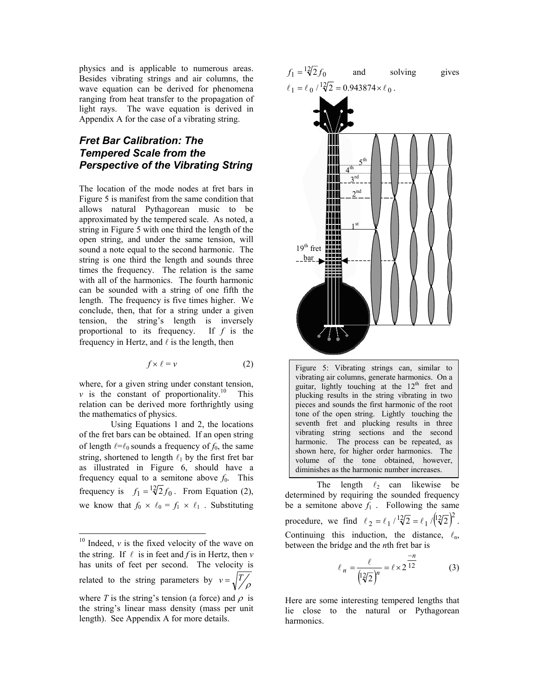physics and is applicable to numerous areas. Besides vibrating strings and air columns, the wave equation can be derived for phenomena ranging from heat transfer to the propagation of light rays. The wave equation is derived in Appendix A for the case of a vibrating string.

# *Fret Bar Calibration: The Tempered Scale from the Perspective of the Vibrating String*

The location of the mode nodes at fret bars in Figure 5 is manifest from the same condition that allows natural Pythagorean music to be approximated by the tempered scale. As noted, a string in Figure 5 with one third the length of the open string, and under the same tension, will sound a note equal to the second harmonic. The string is one third the length and sounds three times the frequency. The relation is the same with all of the harmonics. The fourth harmonic can be sounded with a string of one fifth the length. The frequency is five times higher. We conclude, then, that for a string under a given tension, the string's length is inversely proportional to its frequency. If *f* is the frequency in Hertz, and  $\ell$  is the length, then

$$
f \times \ell = \nu \tag{2}
$$

where, for a given string under constant tension,  $\nu$  is the constant of proportionality.<sup>10</sup> This relation can be derived more forthrightly using the mathematics of physics.

Using Equations 1 and 2, the locations of the fret bars can be obtained. If an open string of length  $l = l_0$  sounds a frequency of  $f_0$ , the same string, shortened to length  $\ell_1$  by the first fret bar as illustrated in Figure 6, should have a frequency equal to a semitone above  $f_0$ . This frequency is  $f_1 = \sqrt[12]{2} f_0$ . From Equation (2), we know that  $f_0 \times \ell_0 = f_1 \times \ell_1$ . Substituting

 $\overline{a}$ 







Figure 5: Vibrating strings can, similar to vibrating air columns, generate harmonics. On a guitar, lightly touching at the  $12<sup>th</sup>$  fret and plucking results in the string vibrating in two pieces and sounds the first harmonic of the root tone of the open string. Lightly touching the seventh fret and plucking results in three vibrating string sections and the second harmonic. The process can be repeated, as shown here, for higher order harmonics. The volume of the tone obtained, however, diminishes as the harmonic number increases.

The length  $\ell_2$  can likewise be determined by requiring the sounded frequency be a semitone above  $f_1$ . Following the same procedure, we find  $\ell_2 = \ell_1 / \sqrt{2} = \ell_1 / (12\sqrt{2})^2$ . Continuing this induction, the distance,  $\ell_{n}$ , between the bridge and the *n*th fret bar is

$$
ell_{n} = \frac{\ell}{\left( \frac{12}{2} \right)^{n}} = \ell \times 2^{\frac{-n}{12}}
$$
 (3)

Here are some interesting tempered lengths that lie close to the natural or Pythagorean harmonics.

<span id="page-5-0"></span> $10$  Indeed,  $\nu$  is the fixed velocity of the wave on the string. If  $\ell$  is in feet and *f* is in Hertz, then  $\nu$ has units of feet per second. The velocity is related to the string parameters by  $v = \sqrt{\frac{T}{\rho}}$ where *T* is the string's tension (a force) and  $\rho$  is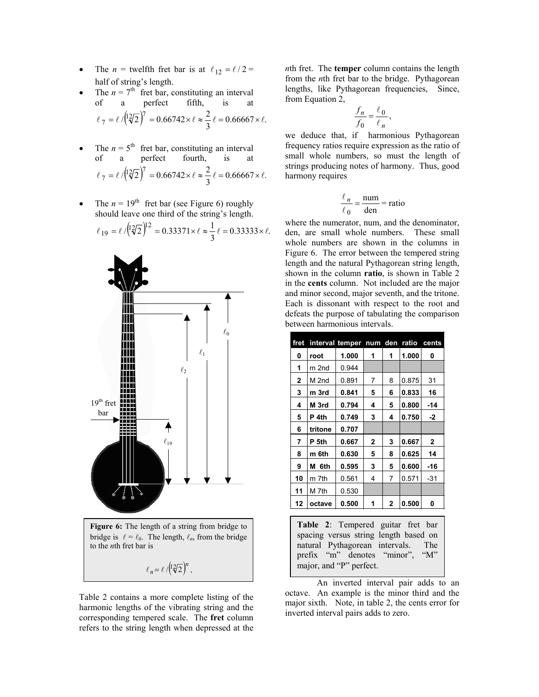- The *n* = twelfth fret bar is at  $\ell_{12} = \ell / 2$  = half of string's length.
- The  $n = 7<sup>th</sup>$  fret bar, constituting an interval of a perfect fifth, is at  $\ell_{7} = \ell / (12\sqrt{2})^{7} = 0.66742 \times \ell \approx \frac{2}{3} \ell = 0.66667 \times \ell.$
- The  $n = 5$ <sup>th</sup> fret bar, constituting an interval<br>of a perfect fourth, is at perfect fourth, is at  $\ell_{7} = \ell / (12\sqrt{2})^{7} = 0.66742 \times \ell \approx \frac{2}{3} \ell = 0.66667 \times \ell.$
- The  $n = 19$ <sup>th</sup> fret bar (see Figure 6) roughly should leave one third of the string's length.

$$
\ell_{19} = \ell / \left(\frac{12}{2}\right)^{12} = 0.33371 \times \ell \approx \frac{1}{3} \ell = 0.33333 \times \ell.
$$



Table 2 contains a more complete listing of the harmonic lengths of the vibrating string and the corresponding tempered scale. The **fret** column refers to the string length when depressed at the

*n*th fret. The **temper** column contains the length from the *n*th fret bar to the bridge. Pythagorean lengths, like Pythagorean frequencies, Since, from Equation 2,

$$
\frac{f_n}{f_0} = \frac{\ell_0}{\ell_n},
$$

we deduce that, if harmonious Pythagorean frequency ratios require expression as the ratio of small whole numbers, so must the length of strings producing notes of harmony. Thus, good harmony requires

$$
\frac{\ell_n}{\ell_0} = \frac{\text{num}}{\text{den}} = \text{ratio}
$$

where the numerator, num, and the denominator, den, are small whole numbers. These small whole numbers are shown in the columns in Figure 6. The error between the tempered string length and the natural Pythagorean string length, shown in the column **ratio**, is shown in Table 2 in the **cents** column. Not included are the major and minor second, major seventh, and the tritone. Each is dissonant with respect to the root and defeats the purpose of tabulating the comparison between harmonious intervals.

| fret           |                      | interval temper num     |                | den | ratio | cents        |
|----------------|----------------------|-------------------------|----------------|-----|-------|--------------|
| 0              | root                 | 1.000                   | 1              | 1   | 1.000 | 0            |
| 1              | m 2nd                | 0.944                   |                |     |       |              |
| $\overline{2}$ | M 2nd                | 0.891                   | 7              | 8   | 0.875 | 31           |
| 3              | m 3rd                | 0.841                   | 5              | 6   | 0.833 | 16           |
| 4              | M 3rd                | 0.794                   | 4              | 5   | 0.800 | $-14$        |
| 5              | P <sub>4th</sub>     | 0.749                   | 3              | 4   | 0.750 | $-2$         |
| 6              | tritone              | 0.707                   |                |     |       |              |
| 7              | P 5th                | 0.667                   | $\overline{2}$ | 3   | 0.667 | $\mathbf{2}$ |
| 8              | m 6th                | 0.630                   | 5              | 8   | 0.625 | 14           |
| 9              | 6th<br>м             | 0.595                   | 3              | 5   | 0.600 | -16          |
| 10             | m 7th                | 0.561                   | 4              | 7   | 0.571 | $-31$        |
| 11             | M 7th                | 0.530                   |                |     |       |              |
| 12             | octave               | 0.500                   | 1              | 2   | 0.500 | 0            |
|                |                      |                         |                |     |       |              |
|                | $T_2$ kla $\gamma$ . | Tommored mitor frot how |                |     |       |              |

| Table 2: Tempered guitar fret bar     |  |  |  |
|---------------------------------------|--|--|--|
| spacing versus string length based on |  |  |  |
| natural Pythagorean intervals. The    |  |  |  |
| prefix "m" denotes "minor", "M"       |  |  |  |
| major, and "P" perfect.               |  |  |  |

An inverted interval pair adds to an octave. An example is the minor third and the major sixth. Note, in table 2, the cents error for inverted interval pairs adds to zero.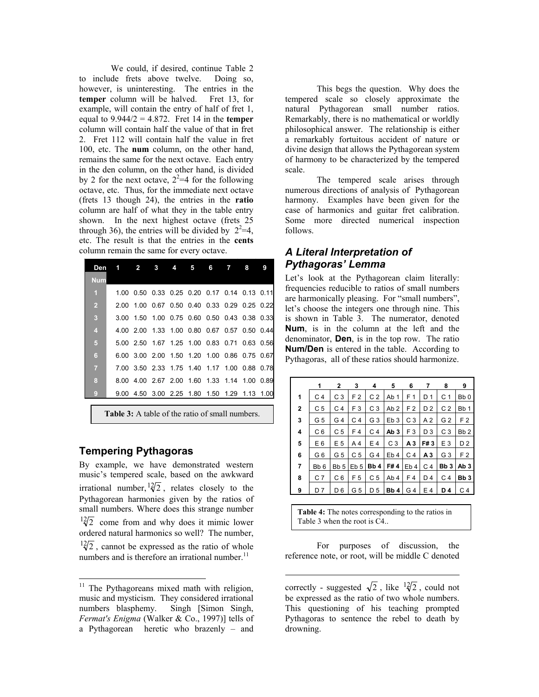We could, if desired, continue Table 2 to include frets above twelve. Doing so, however, is uninteresting. The entries in the **temper** column will be halved. Fret 13, for example, will contain the entry of half of fret 1, equal to 9.944/2 = 4.872. Fret 14 in the **temper** column will contain half the value of that in fret 2. Fret 112 will contain half the value in fret 100, etc. The **num** column, on the other hand, remains the same for the next octave. Each entry in the den column, on the other hand, is divided by 2 for the next octave,  $2^2=4$  for the following octave, etc. Thus, for the immediate next octave (frets 13 though 24), the entries in the **ratio** column are half of what they in the table entry shown. In the next highest octave (frets 25 through 36), the entries will be divided by  $2^2=4$ , etc. The result is that the entries in the **cents** column remain the same for every octave.

| Den                     | $\overline{\phantom{a}}$ | $\overline{\phantom{a}}$                             | 4 5 |  | $6 \overline{7}$ | 8 | 9 |
|-------------------------|--------------------------|------------------------------------------------------|-----|--|------------------|---|---|
| <b>Num</b>              |                          |                                                      |     |  |                  |   |   |
| $\overline{1}$          |                          | 1.00  0.50  0.33  0.25  0.20  0.17  0.14  0.13  0.11 |     |  |                  |   |   |
| $\overline{2}$          |                          | 2.00 1.00 0.67 0.50 0.40 0.33 0.29 0.25 0.22         |     |  |                  |   |   |
| $\overline{\mathbf{3}}$ |                          | 3.00 1.50 1.00 0.75 0.60 0.50 0.43 0.38 0.33         |     |  |                  |   |   |
| $\overline{4}$          |                          | 4.00 2.00 1.33 1.00 0.80 0.67 0.57 0.50 0.44         |     |  |                  |   |   |
| 5 <sub>5</sub>          |                          | 5.00 2.50 1.67 1.25 1.00 0.83 0.71 0.63 0.56         |     |  |                  |   |   |
| 6                       |                          | 6.00 3.00 2.00 1.50 1.20 1.00 0.86 0.75 0.67         |     |  |                  |   |   |
| $\overline{7}$          |                          | 7.00 3.50 2.33 1.75 1.40 1.17 1.00 0.88 0.78         |     |  |                  |   |   |
| 8                       |                          | 8.00 4.00 2.67 2.00 1.60 1.33 1.14 1.00 0.89         |     |  |                  |   |   |
| $\boldsymbol{9}$        |                          | 9.00 4.50 3.00 2.25 1.80 1.50 1.29 1.13 1.00         |     |  |                  |   |   |

**Table 3:** A table of the ratio of small numbers.

### **Tempering Pythagoras**

-

By example, we have demonstrated western music's tempered scale, based on the awkward irrational number,  $\frac{12}{2}$ , relates closely to the Pythagorean harmonies given by the ratios of small numbers. Where does this strange number  $\frac{12}{2}$  come from and why does it mimic lower ordered natural harmonics so well? The number,  $\frac{12}{2}$ , cannot be expressed as the ratio of whole numbers and is therefore an irrational number.<sup>11</sup>

 This begs the question. Why does the tempered scale so closely approximate the natural Pythagorean small number ratios. Remarkably, there is no mathematical or worldly philosophical answer. The relationship is either a remarkably fortuitous accident of nature or divine design that allows the Pythagorean system of harmony to be characterized by the tempered scale.

The tempered scale arises through numerous directions of analysis of Pythagorean harmony. Examples have been given for the case of harmonics and guitar fret calibration. Some more directed numerical inspection follows.

# *A Literal Interpretation of Pythagoras' Lemma*

Let's look at the Pythagorean claim literally: frequencies reducible to ratios of small numbers are harmonically pleasing. For "small numbers", let's choose the integers one through nine. This is shown in Table 3. The numerator, denoted **Num**, is in the column at the left and the denominator, **Den**, is in the top row. The ratio **Num/Den** is entered in the table. According to Pythagoras, all of these ratios should harmonize.

|                         | 1               | $\mathbf{2}$    | 3               | 4              | 5               | 6               | 7              | 8               | 9               |
|-------------------------|-----------------|-----------------|-----------------|----------------|-----------------|-----------------|----------------|-----------------|-----------------|
| 1                       | C <sub>4</sub>  | C <sub>3</sub>  | F <sub>2</sub>  | C <sub>2</sub> | Ab <sub>1</sub> | F 1             | D 1            | C <sub>1</sub>  | Bb <sub>0</sub> |
| $\overline{\mathbf{2}}$ | C <sub>5</sub>  | C 4             | F <sub>3</sub>  | C <sub>3</sub> | Ab <sub>2</sub> | F <sub>2</sub>  | D <sub>2</sub> | C <sub>2</sub>  | Bb <sub>1</sub> |
| 3                       | G <sub>5</sub>  | G 4             | C <sub>4</sub>  | G 3            | Eb <sub>3</sub> | C <sub>3</sub>  | A 2            | G <sub>2</sub>  | F 2             |
| 4                       | C 6             | C <sub>5</sub>  | F4              | C 4            | Ab 3            | F <sub>3</sub>  | D <sub>3</sub> | C <sub>3</sub>  | Bb <sub>2</sub> |
| 5                       | E <sub>6</sub>  | E 5             | A4              | E 4            | C <sub>3</sub>  | А3              | F#3            | E <sub>3</sub>  | D <sub>2</sub>  |
| 6                       | G 6             | G <sub>5</sub>  | C <sub>5</sub>  | G 4            | Eb <sub>4</sub> | C 4             | А3             | G <sub>3</sub>  | F <sub>2</sub>  |
| 7                       | Bb <sub>6</sub> | Bb <sub>5</sub> | Eb <sub>5</sub> | Bb4            | F#4             | Eb <sub>4</sub> | C <sub>4</sub> | Bb <sub>3</sub> | Ab 3            |
| 8                       | C <sub>7</sub>  | C <sub>6</sub>  | F <sub>5</sub>  | C <sub>5</sub> | Ab <sub>4</sub> | F4              | D4             | C 4             | Bb <sub>3</sub> |
| 9                       | D 7             | D 6             | G 5             | D 5            | Bb <sub>4</sub> | G 4             | E 4            | D 4             | C 4             |

**Table 4:** The notes corresponding to the ratios in Table 3 when the root is C4..

 For purposes of discussion, the reference note, or root, will be middle C denoted

 $\overline{a}$ 

correctly - suggested  $\sqrt{2}$ , like  $\sqrt[12]{2}$ , could not be expressed as the ratio of two whole numbers. This questioning of his teaching prompted Pythagoras to sentence the rebel to death by drowning.

<span id="page-7-0"></span><sup>&</sup>lt;sup>11</sup> The Pythagoreans mixed math with religion, music and mysticism. They considered irrational numbers blasphemy. Singh [Simon Singh, *Fermat's Enigma* (Walker & Co., 1997)] tells of a Pythagorean heretic who brazenly – and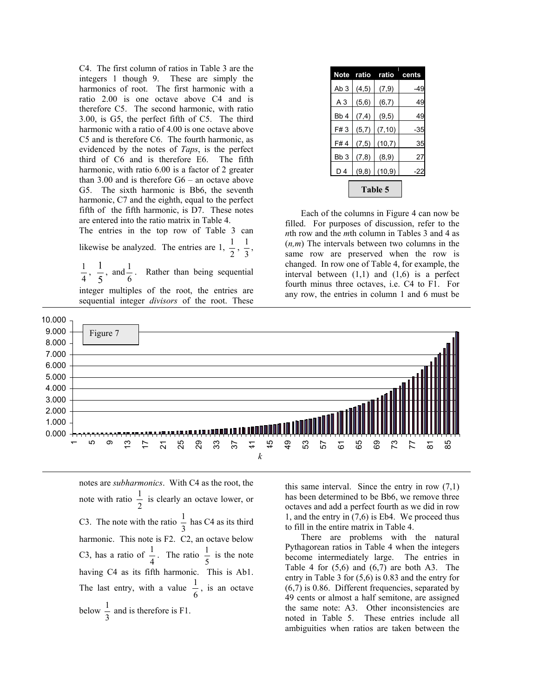C4. The first column of ratios in Table 3 are the integers 1 though 9. These are simply the harmonics of root. The first harmonic with a ratio 2.00 is one octave above C4 and is therefore C5. The second harmonic, with ratio 3.00, is G5, the perfect fifth of C5. The third harmonic with a ratio of 4.00 is one octave above C5 and is therefore C6. The fourth harmonic, as evidenced by the notes of *Taps*, is the perfect third of C6 and is therefore E6. The fifth harmonic, with ratio 6.00 is a factor of 2 greater than 3.00 and is therefore G6 – an octave above G5. The sixth harmonic is Bb6, the seventh harmonic, C7 and the eighth, equal to the perfect fifth of the fifth harmonic, is D7. These notes are entered into the ratio matrix in Table 4.

The entries in the top row of Table 3 can likewise be analyzed. The entries are 1,  $\frac{1}{2}$ ,  $\frac{1}{3}$ ,

 $\frac{1}{4}$ ,  $\frac{1}{5}$ , and  $\frac{1}{6}$ . Rather than being sequential

integer multiples of the root, the entries are sequential integer *divisors* of the root. These

| <b>Note</b>     | ratio  | ratio   | cents |
|-----------------|--------|---------|-------|
| Ab <sub>3</sub> | (4, 5) | (7, 9)  | -49   |
| A <sub>3</sub>  | (5, 6) | (6, 7)  | 49    |
| Bb <sub>4</sub> | (7, 4) | (9, 5)  | 49    |
| F#3             | (5,7)  | (7, 10) | -35   |
| F#4             | (7, 5) | (10,7)  | 35    |
| Bb <sub>3</sub> | (7, 8) | (8, 9)  | 27    |
| D4              | (9, 8) | (10, 9) | -22   |
|                 |        |         |       |

Each of the columns in Figure 4 can now be filled. For purposes of discussion, refer to the *n*th row and the *m*th column in Tables 3 and 4 as (*n,m*) The intervals between two columns in the same row are preserved when the row is changed. In row one of Table 4, for example, the interval between  $(1,1)$  and  $(1,6)$  is a perfect fourth minus three octaves, i.e. C4 to F1. For any row, the entries in column 1 and 6 must be



notes are *subharmonics*. With C4 as the root, the note with ratio  $\frac{1}{2}$  is clearly an octave lower, or C3. The note with the ratio  $\frac{1}{3}$  has C4 as its third harmonic. This note is F2. C2, an octave below C3, has a ratio of  $\frac{1}{4}$ . The ratio  $\frac{1}{5}$  is the note having C4 as its fifth harmonic. This is Ab1. The last entry, with a value  $\frac{1}{6}$ , is an octave below  $\frac{1}{3}$  and is therefore is F1.

this same interval. Since the entry in row  $(7,1)$ has been determined to be Bb6, we remove three octaves and add a perfect fourth as we did in row 1, and the entry in (7,6) is Eb4. We proceed thus to fill in the entire matrix in Table 4.

There are problems with the natural Pythagorean ratios in Table 4 when the integers become intermediately large. The entries in Table 4 for  $(5,6)$  and  $(6,7)$  are both A3. The entry in Table 3 for (5,6) is 0.83 and the entry for (6,7) is 0.86. Different frequencies, separated by 49 cents or almost a half semitone, are assigned the same note: A3. Other inconsistencies are noted in Table 5. These entries include all ambiguities when ratios are taken between the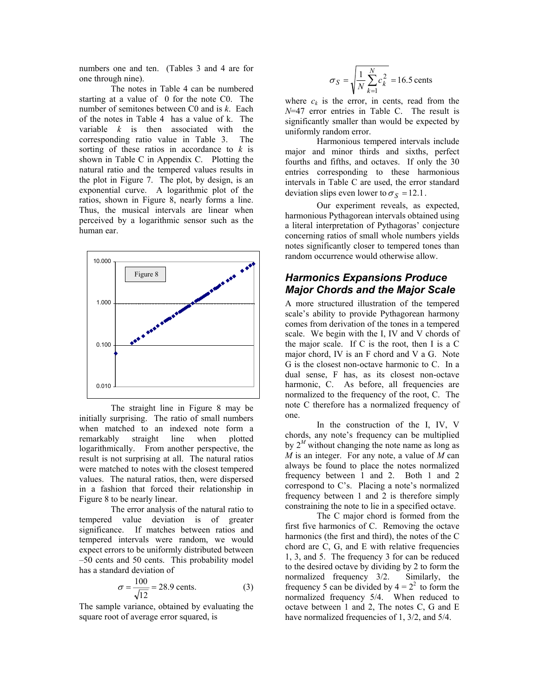numbers one and ten. (Tables 3 and 4 are for one through nine).

 The notes in Table 4 can be numbered starting at a value of 0 for the note C0. The number of semitones between C0 and is *k*. Each of the notes in Table 4 has a value of k. The variable *k* is then associated with the corresponding ratio value in Table 3. The sorting of these ratios in accordance to *k* is shown in Table C in Appendix C. Plotting the natural ratio and the tempered values results in the plot in Figure 7. The plot, by design, is an exponential curve. A logarithmic plot of the ratios, shown in Figure 8, nearly forms a line. Thus, the musical intervals are linear when perceived by a logarithmic sensor such as the human ear.



 The straight line in Figure 8 may be initially surprising. The ratio of small numbers when matched to an indexed note form a remarkably straight line when plotted logarithmically. From another perspective, the result is not surprising at all. The natural ratios were matched to notes with the closest tempered values. The natural ratios, then, were dispersed in a fashion that forced their relationship in Figure 8 to be nearly linear.

 The error analysis of the natural ratio to tempered value deviation is of greater significance. If matches between ratios and tempered intervals were random, we would expect errors to be uniformly distributed between –50 cents and 50 cents. This probability model has a standard deviation of

$$
\sigma = \frac{100}{\sqrt{12}} = 28.9 \text{ cents.}
$$
 (3)

The sample variance, obtained by evaluating the square root of average error squared, is

$$
\sigma_S = \sqrt{\frac{1}{N} \sum_{k=1}^{N} c_k^2} = 16.5
$$
 cents

where  $c_k$  is the error, in cents, read from the *N*=47 error entries in Table C. The result is significantly smaller than would be expected by uniformly random error.

 Harmonious tempered intervals include major and minor thirds and sixths, perfect fourths and fifths, and octaves. If only the 30 entries corresponding to these harmonious intervals in Table C are used, the error standard deviation slips even lower to  $\sigma_s = 12.1$ .

Our experiment reveals, as expected, harmonious Pythagorean intervals obtained using a literal interpretation of Pythagoras' conjecture concerning ratios of small whole numbers yields notes significantly closer to tempered tones than random occurrence would otherwise allow.

# *Harmonics Expansions Produce Major Chords and the Major Scale*

A more structured illustration of the tempered scale's ability to provide Pythagorean harmony comes from derivation of the tones in a tempered scale. We begin with the I, IV and V chords of the major scale. If C is the root, then I is a C major chord, IV is an F chord and V a G. Note G is the closest non-octave harmonic to C. In a dual sense, F has, as its closest non-octave harmonic, C. As before, all frequencies are normalized to the frequency of the root, C. The note C therefore has a normalized frequency of one.

 In the construction of the I, IV, V chords, any note's frequency can be multiplied by  $2^M$  without changing the note name as long as *M* is an integer. For any note, a value of *M* can always be found to place the notes normalized frequency between 1 and 2. Both 1 and 2 correspond to C's. Placing a note's normalized frequency between 1 and 2 is therefore simply constraining the note to lie in a specified octave.

 The C major chord is formed from the first five harmonics of C. Removing the octave harmonics (the first and third), the notes of the C chord are C, G, and E with relative frequencies 1, 3, and 5. The frequency 3 for can be reduced to the desired octave by dividing by 2 to form the normalized frequency 3/2. Similarly, the frequency 5 can be divided by  $4 = 2^2$  to form the normalized frequency 5/4. When reduced to octave between 1 and 2, The notes C, G and E have normalized frequencies of 1, 3/2, and 5/4.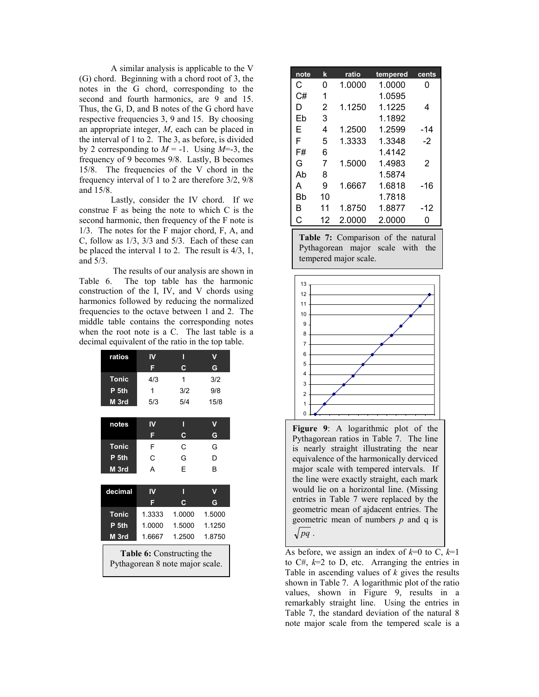A similar analysis is applicable to the V (G) chord. Beginning with a chord root of 3, the notes in the G chord, corresponding to the second and fourth harmonics, are 9 and 15. Thus, the G, D, and B notes of the G chord have respective frequencies 3, 9 and 15. By choosing an appropriate integer, *M*, each can be placed in the interval of 1 to 2. The 3, as before, is divided by 2 corresponding to  $M = -1$ . Using  $M = -3$ , the frequency of 9 becomes 9/8. Lastly, B becomes 15/8. The frequencies of the V chord in the frequency interval of 1 to 2 are therefore 3/2, 9/8 and 15/8.

 Lastly, consider the IV chord. If we construe F as being the note to which C is the second harmonic, then frequency of the F note is 1/3. The notes for the F major chord, F, A, and C, follow as 1/3, 3/3 and 5/3. Each of these can be placed the interval 1 to 2. The result is 4/3, 1, and 5/3.

 The results of our analysis are shown in Table 6. The top table has the harmonic construction of the I, IV, and V chords using harmonics followed by reducing the normalized frequencies to the octave between 1 and 2. The middle table contains the corresponding notes when the root note is a C. The last table is a decimal equivalent of the ratio in the top table.

| ratios                                                              | IV                      | П      |        |  |  |
|---------------------------------------------------------------------|-------------------------|--------|--------|--|--|
|                                                                     | F                       | C      | G      |  |  |
| <b>Tonic</b>                                                        | 4/3                     | 1      | 3/2    |  |  |
| P 5th                                                               | 1                       | 3/2    | 9/8    |  |  |
| M 3rd                                                               | 5/3                     | 5/4    | 15/8   |  |  |
|                                                                     |                         |        |        |  |  |
| notes                                                               | IV                      | П      | v      |  |  |
|                                                                     | F                       | C      | G      |  |  |
| <b>Tonic</b>                                                        | F                       | C      | G      |  |  |
| P <sub>5th</sub>                                                    | C                       | G      | D      |  |  |
| M 3rd                                                               | A                       | F      | B      |  |  |
|                                                                     |                         |        |        |  |  |
| decimal                                                             | $\overline{\mathsf{N}}$ | П      | v      |  |  |
|                                                                     | F                       | C.     | G      |  |  |
| <b>Tonic</b>                                                        | 1.3333                  | 1.0000 | 1.5000 |  |  |
| P <sub>5th</sub>                                                    | 1.0000                  | 1.5000 | 1.1250 |  |  |
| M 3rd                                                               | 1.6667                  | 1.2500 | 1.8750 |  |  |
| <b>Table 6:</b> Constructing the<br>Pythagorean 8 note major scale. |                         |        |        |  |  |

| note | k  | ratio  | tempered | cents         |
|------|----|--------|----------|---------------|
| С    | 0  | 1.0000 | 1.0000   | 0             |
| C#   | 1  |        | 1.0595   |               |
| D    | 2  | 1.1250 | 1.1225   | 4             |
| Fh   | 3  |        | 1.1892   |               |
| E    | 4  | 1.2500 | 1.2599   | -14           |
| F    | 5  | 1.3333 | 1.3348   | $-2$          |
| F#   | 6  |        | 1.4142   |               |
| G    | 7  | 1.5000 | 1.4983   | $\mathcal{P}$ |
| Ah   | 8  |        | 1.5874   |               |
| A    | 9  | 1.6667 | 1.6818   | $-16$         |
| Bb   | 10 |        | 1.7818   |               |
| в    | 11 | 1.8750 | 1.8877   | -12           |
| C    | 12 | 2.0000 | 2.0000   | n             |

**Table 7:** Comparison of the natural Pythagorean major scale with the tempered major scale.



Figure 9: A logarithmic plot of the Pythagorean ratios in Table 7. The line is nearly straight illustrating the near equivalence of the harmonically derviced major scale with tempered intervals. If the line were exactly straight, each mark would lie on a horizontal line. (Missing entries in Table 7 were replaced by the geometric mean of ajdacent entries. The geometric mean of numbers *p* and q is  $\sqrt{pq}$ .

As before, we assign an index of  $k=0$  to C,  $k=1$ to  $C\#$ ,  $k=2$  to D, etc. Arranging the entries in Table in ascending values of *k* gives the results shown in Table 7. A logarithmic plot of the ratio values, shown in Figure 9, results in a remarkably straight line. Using the entries in Table 7, the standard deviation of the natural 8 note major scale from the tempered scale is a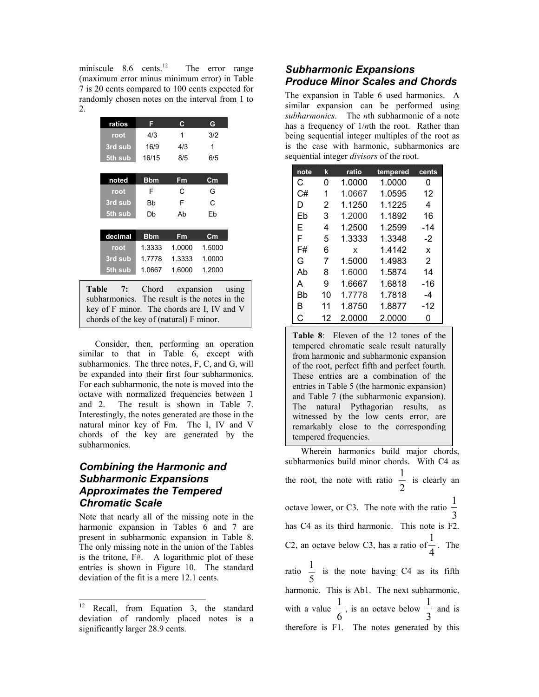miniscule  $8.6$  cents.<sup>12</sup> The error range (maximum error minus minimum error) in Table 7 is 20 cents compared to 100 cents expected for randomly chosen notes on the interval from 1 to 2.

| ratios  | F           | C.     | G                         |
|---------|-------------|--------|---------------------------|
| root    | 4/3         | 1      | 3/2                       |
| 3rd sub | 16/9        | 4/3    | 1                         |
| 5th sub | 16/15       | 8/5    | 6/5                       |
|         |             |        |                           |
| noted   | <b>B</b> bm | Fm     | $\mathsf{c}_{\mathsf{m}}$ |
| root    | F           | С      | G                         |
| 3rd sub | Bb          | F      | С                         |
| 5th sub | Db          | Ab     | Eb                        |
|         |             |        |                           |
| decimal | <b>B</b> bm | Fm     | $\mathsf{c}_{\mathsf{m}}$ |
| root    | 1.3333      | 1.0000 | 1.5000                    |
| 3rd sub | 17778       | 1.3333 | 1.0000                    |
| 5th sub | 1.0667      | 1.6000 | 1.2000                    |

**Table 7:** Chord expansion using subharmonics. The result is the notes in the key of F minor. The chords are I, IV and V chords of the key of (natural) F minor.

Consider, then, performing an operation similar to that in Table 6, except with subharmonics. The three notes, F, C, and G, will be expanded into their first four subharmonics. For each subharmonic, the note is moved into the octave with normalized frequencies between 1 and 2. The result is shown in Table 7. Interestingly, the notes generated are those in the natural minor key of Fm. The I, IV and V chords of the key are generated by the subharmonics.

# *Combining the Harmonic and Subharmonic Expansions Approximates the Tempered Chromatic Scale*

Note that nearly all of the missing note in the harmonic expansion in Tables 6 and 7 are present in subharmonic expansion in Table 8. The only missing note in the union of the Tables is the tritone, F#. A logarithmic plot of these entries is shown in Figure 10. The standard deviation of the fit is a mere 12.1 cents.

# *Subharmonic Expansions Produce Minor Scales and Chords*

The expansion in Table 6 used harmonics. A similar expansion can be performed using *subharmonics*. The *n*th subharmonic of a note has a frequency of 1/*n*th the root. Rather than being sequential integer multiples of the root as is the case with harmonic, subharmonics are sequential integer *divisors* of the root.

| note | k  | ratio  | tempered | cents |
|------|----|--------|----------|-------|
| C    | 0  | 1.0000 | 1.0000   | 0     |
| C#   | 1  | 1.0667 | 1.0595   | 12    |
| D    | 2  | 1.1250 | 1.1225   | 4     |
| Fh   | 3  | 1.2000 | 1.1892   | 16    |
| F    | 4  | 1.2500 | 1.2599   | -14   |
| F    | 5  | 1.3333 | 1.3348   | $-2$  |
| F#   | 6  | x      | 1.4142   | X     |
| G    | 7  | 1.5000 | 1.4983   | 2     |
| Ah   | 8  | 1.6000 | 1.5874   | 14    |
| А    | 9  | 1.6667 | 1.6818   | -16   |
| Bh   | 10 | 1.7778 | 1.7818   | -4    |
| R    | 11 | 1.8750 | 1.8877   | -12   |
| С    | 12 | 2.0000 | 2.0000   | n     |

**Table 8**: Eleven of the 12 tones of the tempered chromatic scale result naturally from harmonic and subharmonic expansion of the root, perfect fifth and perfect fourth. These entries are a combination of the entries in Table 5 (the harmonic expansion) and Table 7 (the subharmonic expansion). The natural Pythagorian results, as witnessed by the low cents error, are remarkably close to the corresponding tempered frequencies.

Wherein harmonics build major chords, subharmonics build minor chords. With C4 as the root, the note with ratio  $\frac{1}{2}$  $\frac{1}{2}$  is clearly an octave lower, or C3. The note with the ratio  $\frac{1}{3}$ 1 has C4 as its third harmonic. This note is F2. C2, an octave below C3, has a ratio of  $\frac{1}{4}$  $\frac{1}{1}$ . The ratio 5  $\frac{1}{x}$  is the note having C4 as its fifth harmonic. This is Ab1. The next subharmonic, with a value  $\frac{1}{6}$ 1 , is an octave below  $\frac{1}{3}$  $\frac{1}{2}$  and is therefore is F1. The notes generated by this

<span id="page-11-0"></span> $12 \,$ Recall, from Equation 3, the standard deviation of randomly placed notes is a significantly larger 28.9 cents.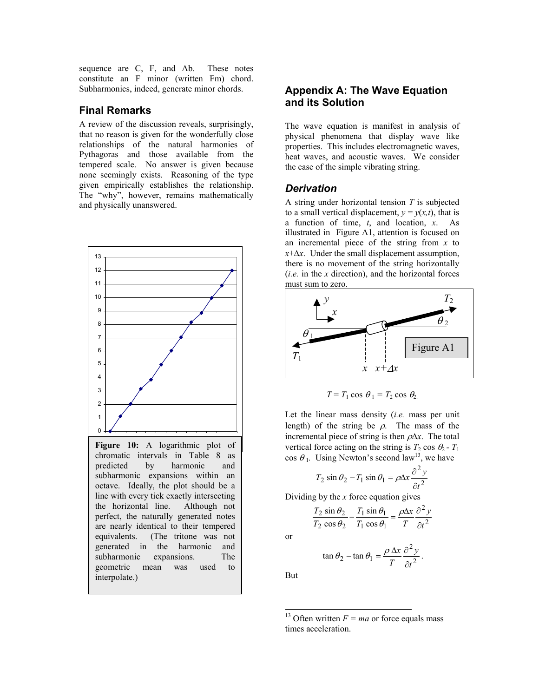sequence are C, F, and Ab. These notes constitute an F minor (written Fm) chord. Subharmonics, indeed, generate minor chords.

# **Final Remarks**

A review of the discussion reveals, surprisingly, that no reason is given for the wonderfully close relationships of the natural harmonies of Pythagoras and those available from the tempered scale. No answer is given because none seemingly exists. Reasoning of the type given empirically establishes the relationship. The "why", however, remains mathematically and physically unanswered.



# generated in the harmonic and subharmonic expansions. The geometric mean was used to interpolate.)

# **Appendix A: The Wave Equation and its Solution**

The wave equation is manifest in analysis of physical phenomena that display wave like properties. This includes electromagnetic waves, heat waves, and acoustic waves. We consider the case of the simple vibrating string.

# *Derivation*

A string under horizontal tension *T* is subjected to a small vertical displacement,  $y = y(x,t)$ , that is a function of time, *t*, and location, *x*. As illustrated in Figure A1, attention is focused on an incremental piece of the string from *x* to *x*+∆*x*. Under the small displacement assumption, there is no movement of the string horizontally (*i.e.* in the *x* direction), and the horizontal forces must sum to zero.



 $T = T_1 \cos \theta_1 = T_2 \cos \theta_2$ 

Let the linear mass density (*i.e.* mass per unit length) of the string be  $\rho$ . The mass of the incremental piece of string is then ρ∆*x*. The total vertical force acting on the string is  $T_2 \cos \theta_2 - T_1$ cos  $\theta_1$ . Using Newton's second law<sup>13</sup>, we have

$$
T_2 \sin \theta_2 - T_1 \sin \theta_1 = \rho \Delta x \frac{\partial^2 y}{\partial t^2}
$$

Dividing by the *x* force equation gives

$$
\frac{T_2 \sin \theta_2}{T_2 \cos \theta_2} - \frac{T_1 \sin \theta_1}{T_1 \cos \theta_1} = \frac{\rho \Delta x}{T} \frac{\partial^2 y}{\partial t^2}
$$

or

$$
\tan \theta_2 - \tan \theta_1 = \frac{\rho \Delta x}{T} \frac{\partial^2 y}{\partial t^2}.
$$

But

 $\overline{a}$ 

<span id="page-12-0"></span><sup>13</sup> Often written  $F = ma$  or force equals mass times acceleration.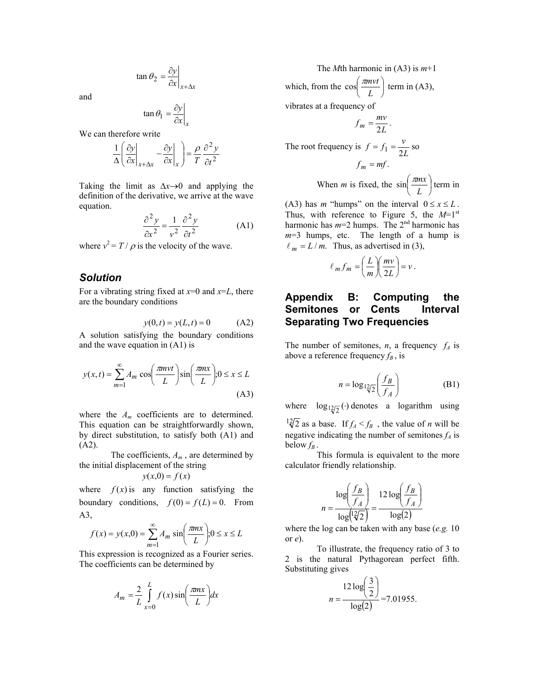$$
\tan \theta_2 = \frac{\partial y}{\partial x}\bigg|_{x + \Delta x}
$$

and

$$
\tan \theta_1 = \frac{\partial y}{\partial x}\bigg|_{x}
$$

We can therefore write

$$
\frac{1}{\Delta} \left( \frac{\partial y}{\partial x} \bigg|_{x + \Delta x} - \frac{\partial y}{\partial x} \bigg|_{x} \right) = \frac{\rho}{T} \frac{\partial^2 y}{\partial t^2}
$$

Taking the limit as ∆*x*→0 and applying the definition of the derivative, we arrive at the wave equation.

$$
\frac{\partial^2 y}{\partial x^2} = \frac{1}{v^2} \frac{\partial^2 y}{\partial t^2}
$$
 (A1)

where  $v^2 = T / \rho$  is the velocity of the wave.

### *Solution*

For a vibrating string fixed at *x*=0 and *x*=*L*, there are the boundary conditions

$$
y(0,t) = y(L,t) = 0
$$
 (A2)

A solution satisfying the boundary conditions and the wave equation in (A1) is

$$
y(x,t) = \sum_{m=1}^{\infty} A_m \cos\left(\frac{m n v t}{L}\right) \sin\left(\frac{m n x}{L}\right); 0 \le x \le L
$$
\n(A3)

where the *Am* coefficients are to determined. This equation can be straightforwardly shown, by direct substitution, to satisfy both (A1) and (A2).

 The coefficients, *Am* , are determined by the initial displacement of the string

$$
y(x,0) = f(x)
$$

where  $f(x)$  is any function satisfying the boundary conditions,  $f(0) = f(L) = 0$ . From A3,

$$
f(x) = y(x,0) = \sum_{m=1}^{\infty} A_m \sin\left(\frac{mnx}{L}\right); 0 \le x \le L
$$

This expression is recognized as a Fourier series. The coefficients can be determined by

$$
A_m = \frac{2}{L} \int_{x=0}^{L} f(x) \sin\left(\frac{\pi nx}{L}\right) dx
$$

 The *M*th harmonic in (A3) is *m*+1 which, from the  $\cos\left(\frac{\pi mvt}{l}\right)$ J  $\setminus$ ſ *L* <sup>π</sup>*mvt* term in  $(A3)$ ,

vibrates at a frequency of

$$
f_m = \frac{mv}{2L}.
$$
  
The root frequency is  $f = f_1 = \frac{v}{2L}$  so  

$$
f_m = mf.
$$

When *m* is fixed, the 
$$
\sin\left(\frac{\pi mx}{L}\right)
$$
 term in

(A3) has *m* "humps" on the interval  $0 \le x \le L$ . Thus, with reference to Figure 5, the  $M=1<sup>st</sup>$ harmonic has  $m=2$  humps. The  $2<sup>nd</sup>$  harmonic has *m*=3 humps, etc. The length of a hump is  $\ell_m = L/m$ . Thus, as advertised in (3),

$$
ell_m f_m = \left(\frac{L}{m}\right) \left(\frac{mv}{2L}\right) = v.
$$

# **Appendix B: Computing the Semitones or Cents Interval Separating Two Frequencies**

The number of semitones, *n*, a frequency  $f_A$  is above a reference frequency  $f_B$ , is

$$
n = \log_{12/2} \left( \frac{f_B}{f_A} \right) \tag{B1}
$$

where  $log_{12/2}(\cdot)$  denotes a logarithm using

 $\frac{12}{2}$  as a base. If  $f_A < f_B$ , the value of *n* will be negative indicating the number of semitones  $f_A$  is below  $f_B$ .

This formula is equivalent to the more calculator friendly relationship.

$$
n = \frac{\log \left(\frac{f_B}{f_A}\right)}{\log \left(\frac{2}{2}\right)} = \frac{12 \log \left(\frac{f_B}{f_A}\right)}{\log(2)}
$$

where the log can be taken with any base (*e.g.* 10 or *e*).

 To illustrate, the frequency ratio of 3 to 2 is the natural Pythagorean perfect fifth. Substituting gives  $\sim$   $\sim$ 

$$
n = \frac{12 \log\left(\frac{3}{2}\right)}{\log(2)} = 7.01955.
$$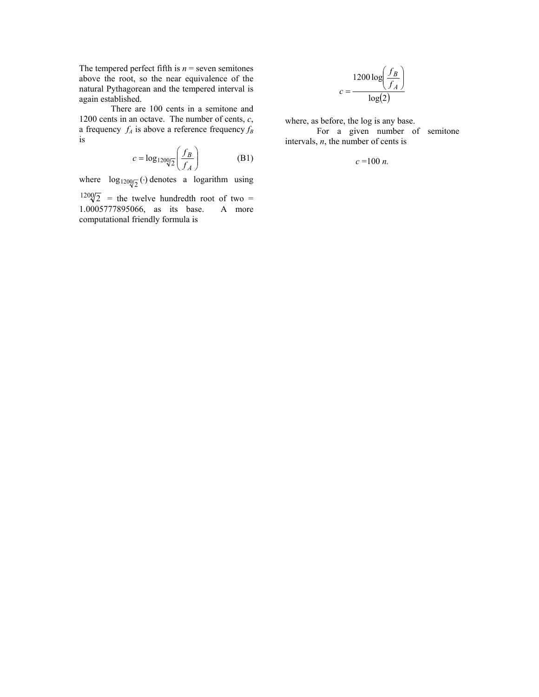The tempered perfect fifth is  $n =$  seven semitones above the root, so the near equivalence of the natural Pythagorean and the tempered interval is again established.

 There are 100 cents in a semitone and 1200 cents in an octave. The number of cents, *c*, a frequency  $f_A$  is above a reference frequency  $f_B$ is

$$
c = \log_{1200\sqrt{2}} \left( \frac{f_B}{f_A} \right) \tag{B1}
$$

where  $log_{120Q/\text{T}}(\cdot)$  denotes a logarithm using

 $1200\overline{2}$  = the twelve hundredth root of two = 1.0005777895066, as its base. A more computational friendly formula is

$$
c = \frac{1200 \log \left(\frac{f_B}{f_A}\right)}{\log(2)}
$$

where, as before, the log is any base.

 For a given number of semitone intervals,  $n$ , the number of cents is

*c* =100 *n.*